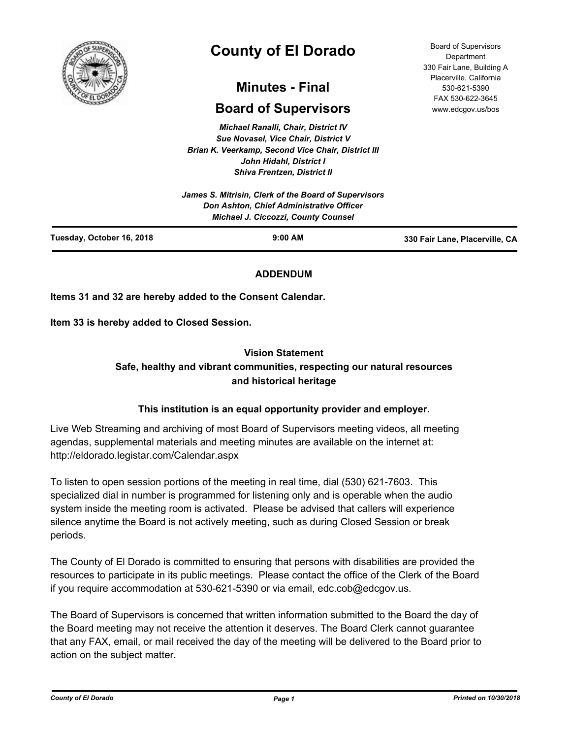

# **County of El Dorado**

## **Minutes - Final**

## **Board of Supervisors**

*Michael Ranalli, Chair, District IV Sue Novasel, Vice Chair, District V Brian K. Veerkamp, Second Vice Chair, District III John Hidahl, District I Shiva Frentzen, District II*

| Tuesday, October 16, 2018 | $9:00$ AM                                                                              | 330 Fair Lane, Placerville, CA |
|---------------------------|----------------------------------------------------------------------------------------|--------------------------------|
|                           | Don Ashton, Chief Administrative Officer<br><b>Michael J. Ciccozzi, County Counsel</b> |                                |
|                           | James S. Mitrisin, Clerk of the Board of Supervisors                                   |                                |

## **ADDENDUM**

**Items 31 and 32 are hereby added to the Consent Calendar.**

**Item 33 is hereby added to Closed Session.**

## **Vision Statement**

## **Safe, healthy and vibrant communities, respecting our natural resources and historical heritage**

## **This institution is an equal opportunity provider and employer.**

Live Web Streaming and archiving of most Board of Supervisors meeting videos, all meeting agendas, supplemental materials and meeting minutes are available on the internet at: http://eldorado.legistar.com/Calendar.aspx

To listen to open session portions of the meeting in real time, dial (530) 621-7603. This specialized dial in number is programmed for listening only and is operable when the audio system inside the meeting room is activated. Please be advised that callers will experience silence anytime the Board is not actively meeting, such as during Closed Session or break periods.

The County of El Dorado is committed to ensuring that persons with disabilities are provided the resources to participate in its public meetings. Please contact the office of the Clerk of the Board if you require accommodation at 530-621-5390 or via email, edc.cob@edcgov.us.

The Board of Supervisors is concerned that written information submitted to the Board the day of the Board meeting may not receive the attention it deserves. The Board Clerk cannot guarantee that any FAX, email, or mail received the day of the meeting will be delivered to the Board prior to action on the subject matter.

Board of Supervisors Department 330 Fair Lane, Building A Placerville, California 530-621-5390 FAX 530-622-3645 www.edcgov.us/bos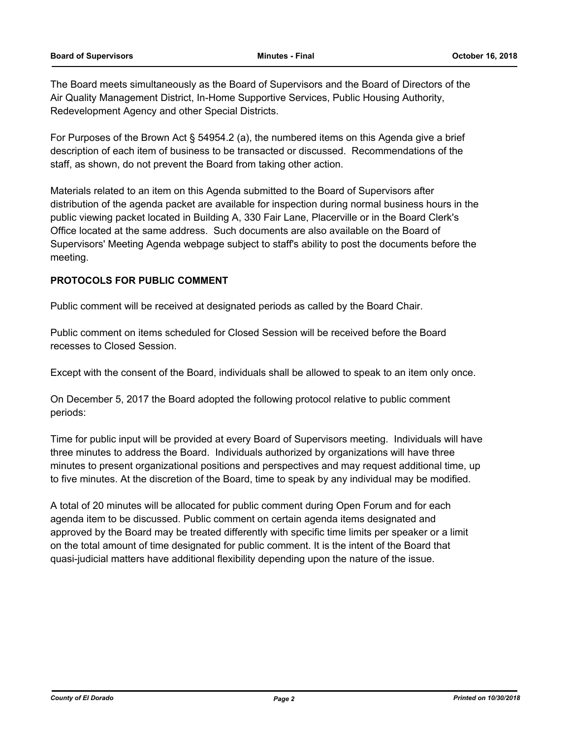The Board meets simultaneously as the Board of Supervisors and the Board of Directors of the Air Quality Management District, In-Home Supportive Services, Public Housing Authority, Redevelopment Agency and other Special Districts.

For Purposes of the Brown Act § 54954.2 (a), the numbered items on this Agenda give a brief description of each item of business to be transacted or discussed. Recommendations of the staff, as shown, do not prevent the Board from taking other action.

Materials related to an item on this Agenda submitted to the Board of Supervisors after distribution of the agenda packet are available for inspection during normal business hours in the public viewing packet located in Building A, 330 Fair Lane, Placerville or in the Board Clerk's Office located at the same address. Such documents are also available on the Board of Supervisors' Meeting Agenda webpage subject to staff's ability to post the documents before the meeting.

## **PROTOCOLS FOR PUBLIC COMMENT**

Public comment will be received at designated periods as called by the Board Chair.

Public comment on items scheduled for Closed Session will be received before the Board recesses to Closed Session.

Except with the consent of the Board, individuals shall be allowed to speak to an item only once.

On December 5, 2017 the Board adopted the following protocol relative to public comment periods:

Time for public input will be provided at every Board of Supervisors meeting. Individuals will have three minutes to address the Board. Individuals authorized by organizations will have three minutes to present organizational positions and perspectives and may request additional time, up to five minutes. At the discretion of the Board, time to speak by any individual may be modified.

A total of 20 minutes will be allocated for public comment during Open Forum and for each agenda item to be discussed. Public comment on certain agenda items designated and approved by the Board may be treated differently with specific time limits per speaker or a limit on the total amount of time designated for public comment. It is the intent of the Board that quasi-judicial matters have additional flexibility depending upon the nature of the issue.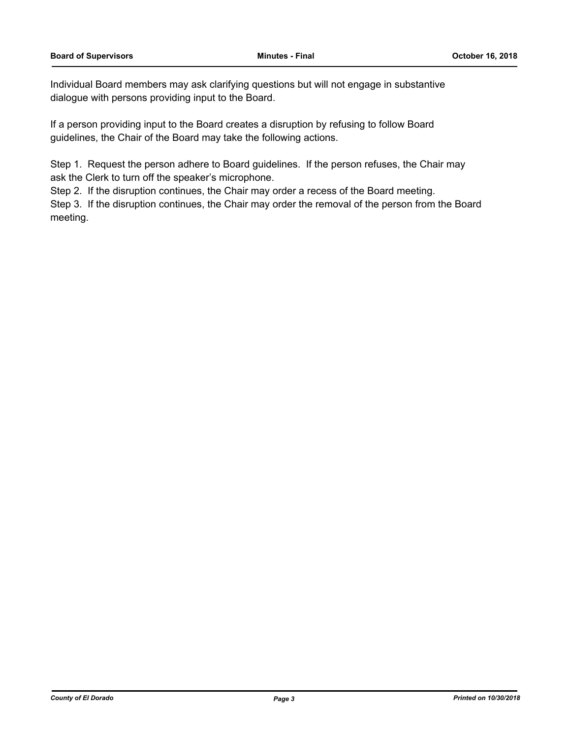Individual Board members may ask clarifying questions but will not engage in substantive dialogue with persons providing input to the Board.

If a person providing input to the Board creates a disruption by refusing to follow Board guidelines, the Chair of the Board may take the following actions.

Step 1. Request the person adhere to Board guidelines. If the person refuses, the Chair may ask the Clerk to turn off the speaker's microphone.

Step 2. If the disruption continues, the Chair may order a recess of the Board meeting.

Step 3. If the disruption continues, the Chair may order the removal of the person from the Board meeting.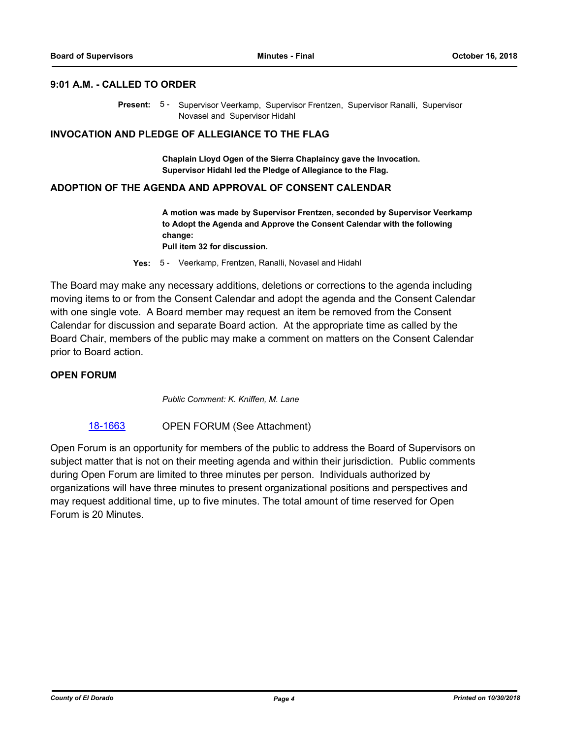## **9:01 A.M. - CALLED TO ORDER**

Present: 5 - Supervisor Veerkamp, Supervisor Frentzen, Supervisor Ranalli, Supervisor Novasel and Supervisor Hidahl

### **INVOCATION AND PLEDGE OF ALLEGIANCE TO THE FLAG**

**Chaplain Lloyd Ogen of the Sierra Chaplaincy gave the Invocation. Supervisor Hidahl led the Pledge of Allegiance to the Flag.**

#### **ADOPTION OF THE AGENDA AND APPROVAL OF CONSENT CALENDAR**

**A motion was made by Supervisor Frentzen, seconded by Supervisor Veerkamp to Adopt the Agenda and Approve the Consent Calendar with the following change:**

**Pull item 32 for discussion.**

**Yes:** 5 - Veerkamp, Frentzen, Ranalli, Novasel and Hidahl

The Board may make any necessary additions, deletions or corrections to the agenda including moving items to or from the Consent Calendar and adopt the agenda and the Consent Calendar with one single vote. A Board member may request an item be removed from the Consent Calendar for discussion and separate Board action. At the appropriate time as called by the Board Chair, members of the public may make a comment on matters on the Consent Calendar prior to Board action.

## **OPEN FORUM**

*Public Comment: K. Kniffen, M. Lane*

#### [18-1663](http://eldorado.legistar.com/gateway.aspx?m=l&id=/matter.aspx?key=25014) **OPEN FORUM (See Attachment)**

Open Forum is an opportunity for members of the public to address the Board of Supervisors on subject matter that is not on their meeting agenda and within their jurisdiction. Public comments during Open Forum are limited to three minutes per person. Individuals authorized by organizations will have three minutes to present organizational positions and perspectives and may request additional time, up to five minutes. The total amount of time reserved for Open Forum is 20 Minutes.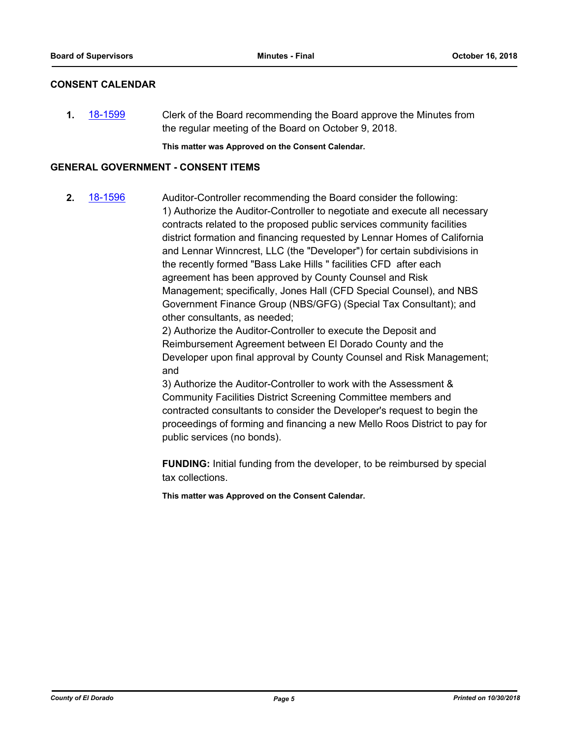## **CONSENT CALENDAR**

**1.** [18-1599](http://eldorado.legistar.com/gateway.aspx?m=l&id=/matter.aspx?key=24950) Clerk of the Board recommending the Board approve the Minutes from the regular meeting of the Board on October 9, 2018.

**This matter was Approved on the Consent Calendar.**

## **GENERAL GOVERNMENT - CONSENT ITEMS**

**2.** [18-1596](http://eldorado.legistar.com/gateway.aspx?m=l&id=/matter.aspx?key=24947) Auditor-Controller recommending the Board consider the following: 1) Authorize the Auditor-Controller to negotiate and execute all necessary contracts related to the proposed public services community facilities district formation and financing requested by Lennar Homes of California and Lennar Winncrest, LLC (the "Developer") for certain subdivisions in the recently formed "Bass Lake Hills " facilities CFD after each agreement has been approved by County Counsel and Risk Management; specifically, Jones Hall (CFD Special Counsel), and NBS Government Finance Group (NBS/GFG) (Special Tax Consultant); and other consultants, as needed;

> 2) Authorize the Auditor-Controller to execute the Deposit and Reimbursement Agreement between El Dorado County and the Developer upon final approval by County Counsel and Risk Management; and

> 3) Authorize the Auditor-Controller to work with the Assessment & Community Facilities District Screening Committee members and contracted consultants to consider the Developer's request to begin the proceedings of forming and financing a new Mello Roos District to pay for public services (no bonds).

> **FUNDING:** Initial funding from the developer, to be reimbursed by special tax collections.

**This matter was Approved on the Consent Calendar.**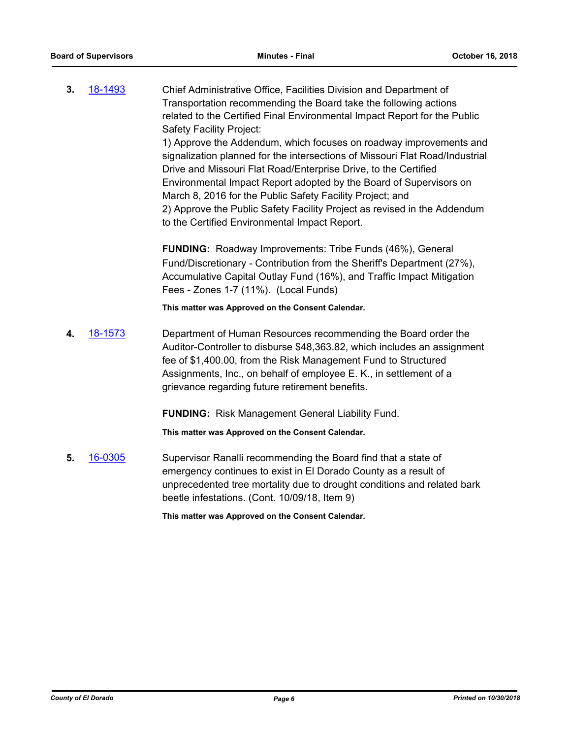**3.** [18-1493](http://eldorado.legistar.com/gateway.aspx?m=l&id=/matter.aspx?key=24844) Chief Administrative Office, Facilities Division and Department of Transportation recommending the Board take the following actions related to the Certified Final Environmental Impact Report for the Public Safety Facility Project: 1) Approve the Addendum, which focuses on roadway improvements and signalization planned for the intersections of Missouri Flat Road/Industrial Drive and Missouri Flat Road/Enterprise Drive, to the Certified Environmental Impact Report adopted by the Board of Supervisors on March 8, 2016 for the Public Safety Facility Project; and

> 2) Approve the Public Safety Facility Project as revised in the Addendum to the Certified Environmental Impact Report.

**FUNDING:** Roadway Improvements: Tribe Funds (46%), General Fund/Discretionary - Contribution from the Sheriff's Department (27%), Accumulative Capital Outlay Fund (16%), and Traffic Impact Mitigation Fees - Zones 1-7 (11%). (Local Funds)

**This matter was Approved on the Consent Calendar.**

**4.** [18-1573](http://eldorado.legistar.com/gateway.aspx?m=l&id=/matter.aspx?key=24924) Department of Human Resources recommending the Board order the Auditor-Controller to disburse \$48,363.82, which includes an assignment fee of \$1,400.00, from the Risk Management Fund to Structured Assignments, Inc., on behalf of employee E. K., in settlement of a grievance regarding future retirement benefits.

**FUNDING:** Risk Management General Liability Fund.

**This matter was Approved on the Consent Calendar.**

**5.** [16-0305](http://eldorado.legistar.com/gateway.aspx?m=l&id=/matter.aspx?key=20961) Supervisor Ranalli recommending the Board find that a state of emergency continues to exist in El Dorado County as a result of unprecedented tree mortality due to drought conditions and related bark beetle infestations. (Cont. 10/09/18, Item 9)

**This matter was Approved on the Consent Calendar.**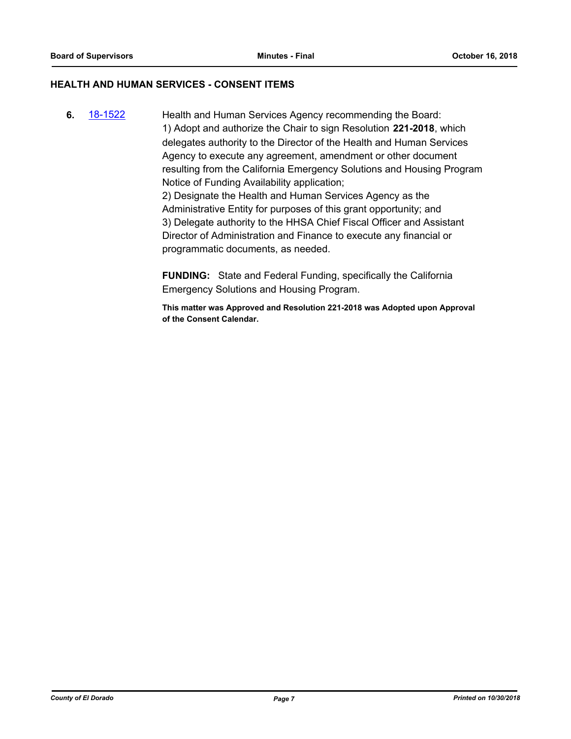## **HEALTH AND HUMAN SERVICES - CONSENT ITEMS**

**6.** [18-1522](http://eldorado.legistar.com/gateway.aspx?m=l&id=/matter.aspx?key=24873) Health and Human Services Agency recommending the Board: 1) Adopt and authorize the Chair to sign Resolution **221-2018**, which delegates authority to the Director of the Health and Human Services Agency to execute any agreement, amendment or other document resulting from the California Emergency Solutions and Housing Program Notice of Funding Availability application; 2) Designate the Health and Human Services Agency as the Administrative Entity for purposes of this grant opportunity; and 3) Delegate authority to the HHSA Chief Fiscal Officer and Assistant Director of Administration and Finance to execute any financial or programmatic documents, as needed.

> **FUNDING:** State and Federal Funding, specifically the California Emergency Solutions and Housing Program.

**This matter was Approved and Resolution 221-2018 was Adopted upon Approval of the Consent Calendar.**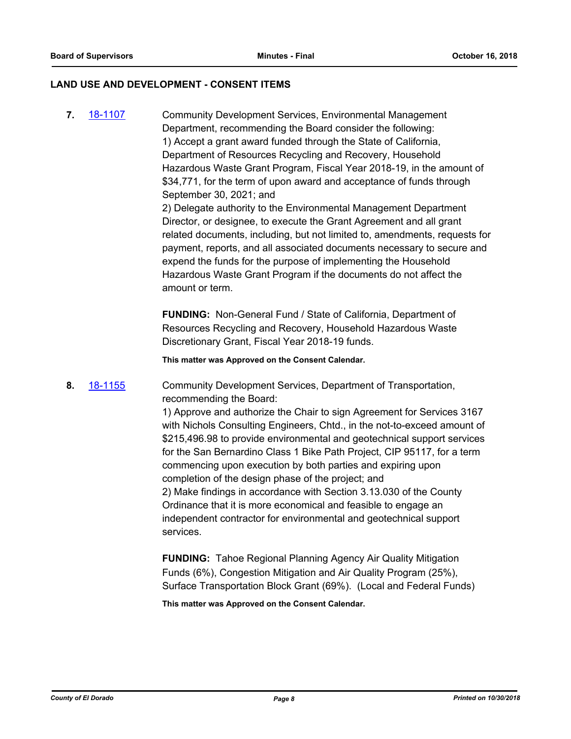#### **LAND USE AND DEVELOPMENT - CONSENT ITEMS**

**7.** [18-1107](http://eldorado.legistar.com/gateway.aspx?m=l&id=/matter.aspx?key=24457) Community Development Services, Environmental Management Department, recommending the Board consider the following: 1) Accept a grant award funded through the State of California, Department of Resources Recycling and Recovery, Household Hazardous Waste Grant Program, Fiscal Year 2018-19, in the amount of \$34,771, for the term of upon award and acceptance of funds through September 30, 2021; and

2) Delegate authority to the Environmental Management Department Director, or designee, to execute the Grant Agreement and all grant related documents, including, but not limited to, amendments, requests for payment, reports, and all associated documents necessary to secure and expend the funds for the purpose of implementing the Household Hazardous Waste Grant Program if the documents do not affect the amount or term.

**FUNDING:** Non-General Fund / State of California, Department of Resources Recycling and Recovery, Household Hazardous Waste Discretionary Grant, Fiscal Year 2018-19 funds.

**This matter was Approved on the Consent Calendar.**

**8.** [18-1155](http://eldorado.legistar.com/gateway.aspx?m=l&id=/matter.aspx?key=24505) Community Development Services, Department of Transportation, recommending the Board:

> 1) Approve and authorize the Chair to sign Agreement for Services 3167 with Nichols Consulting Engineers, Chtd., in the not-to-exceed amount of \$215,496.98 to provide environmental and geotechnical support services for the San Bernardino Class 1 Bike Path Project, CIP 95117, for a term commencing upon execution by both parties and expiring upon completion of the design phase of the project; and 2) Make findings in accordance with Section 3.13.030 of the County Ordinance that it is more economical and feasible to engage an independent contractor for environmental and geotechnical support services.

**FUNDING:** Tahoe Regional Planning Agency Air Quality Mitigation Funds (6%), Congestion Mitigation and Air Quality Program (25%), Surface Transportation Block Grant (69%). (Local and Federal Funds)

**This matter was Approved on the Consent Calendar.**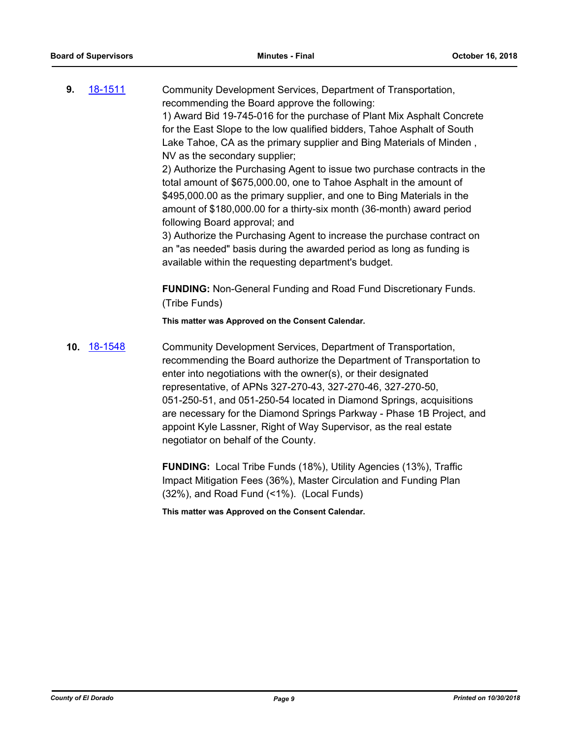**9.** [18-1511](http://eldorado.legistar.com/gateway.aspx?m=l&id=/matter.aspx?key=24862) Community Development Services, Department of Transportation, recommending the Board approve the following: 1) Award Bid 19-745-016 for the purchase of Plant Mix Asphalt Concrete for the East Slope to the low qualified bidders, Tahoe Asphalt of South Lake Tahoe, CA as the primary supplier and Bing Materials of Minden ,

> NV as the secondary supplier; 2) Authorize the Purchasing Agent to issue two purchase contracts in the total amount of \$675,000.00, one to Tahoe Asphalt in the amount of \$495,000.00 as the primary supplier, and one to Bing Materials in the amount of \$180,000.00 for a thirty-six month (36-month) award period following Board approval; and

3) Authorize the Purchasing Agent to increase the purchase contract on an "as needed" basis during the awarded period as long as funding is available within the requesting department's budget.

**FUNDING:** Non-General Funding and Road Fund Discretionary Funds. (Tribe Funds)

**This matter was Approved on the Consent Calendar.**

**10.** [18-1548](http://eldorado.legistar.com/gateway.aspx?m=l&id=/matter.aspx?key=24899) Community Development Services, Department of Transportation, recommending the Board authorize the Department of Transportation to enter into negotiations with the owner(s), or their designated representative, of APNs 327-270-43, 327-270-46, 327-270-50, 051-250-51, and 051-250-54 located in Diamond Springs, acquisitions are necessary for the Diamond Springs Parkway - Phase 1B Project, and appoint Kyle Lassner, Right of Way Supervisor, as the real estate negotiator on behalf of the County.

> **FUNDING:** Local Tribe Funds (18%), Utility Agencies (13%), Traffic Impact Mitigation Fees (36%), Master Circulation and Funding Plan (32%), and Road Fund (<1%). (Local Funds)

**This matter was Approved on the Consent Calendar.**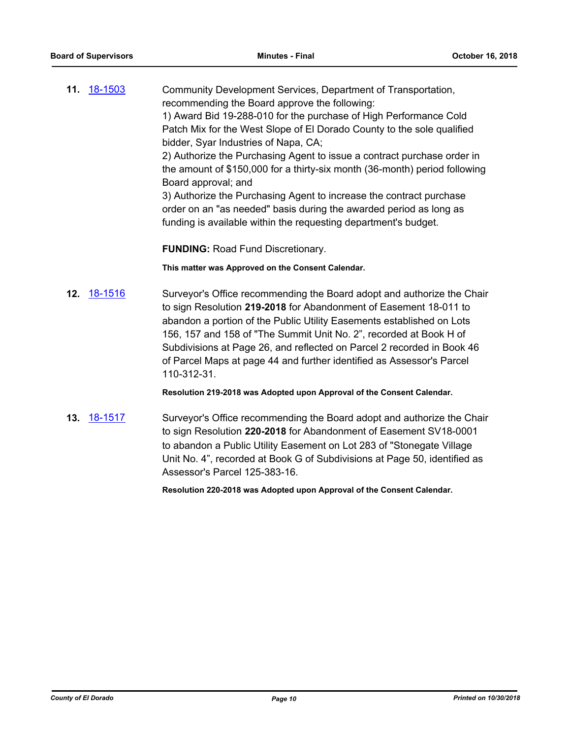**11.** [18-1503](http://eldorado.legistar.com/gateway.aspx?m=l&id=/matter.aspx?key=24854) Community Development Services, Department of Transportation, recommending the Board approve the following: 1) Award Bid 19-288-010 for the purchase of High Performance Cold Patch Mix for the West Slope of El Dorado County to the sole qualified bidder, Syar Industries of Napa, CA; 2) Authorize the Purchasing Agent to issue a contract purchase order in the amount of \$150,000 for a thirty-six month (36-month) period following Board approval; and 3) Authorize the Purchasing Agent to increase the contract purchase order on an "as needed" basis during the awarded period as long as funding is available within the requesting department's budget.

**FUNDING:** Road Fund Discretionary.

**This matter was Approved on the Consent Calendar.**

**12.** [18-1516](http://eldorado.legistar.com/gateway.aspx?m=l&id=/matter.aspx?key=24867) Surveyor's Office recommending the Board adopt and authorize the Chair to sign Resolution **219-2018** for Abandonment of Easement 18-011 to abandon a portion of the Public Utility Easements established on Lots 156, 157 and 158 of "The Summit Unit No. 2", recorded at Book H of Subdivisions at Page 26, and reflected on Parcel 2 recorded in Book 46 of Parcel Maps at page 44 and further identified as Assessor's Parcel 110-312-31.

**Resolution 219-2018 was Adopted upon Approval of the Consent Calendar.**

**13.** [18-1517](http://eldorado.legistar.com/gateway.aspx?m=l&id=/matter.aspx?key=24868) Surveyor's Office recommending the Board adopt and authorize the Chair to sign Resolution **220-2018** for Abandonment of Easement SV18-0001 to abandon a Public Utility Easement on Lot 283 of "Stonegate Village Unit No. 4", recorded at Book G of Subdivisions at Page 50, identified as Assessor's Parcel 125-383-16.

**Resolution 220-2018 was Adopted upon Approval of the Consent Calendar.**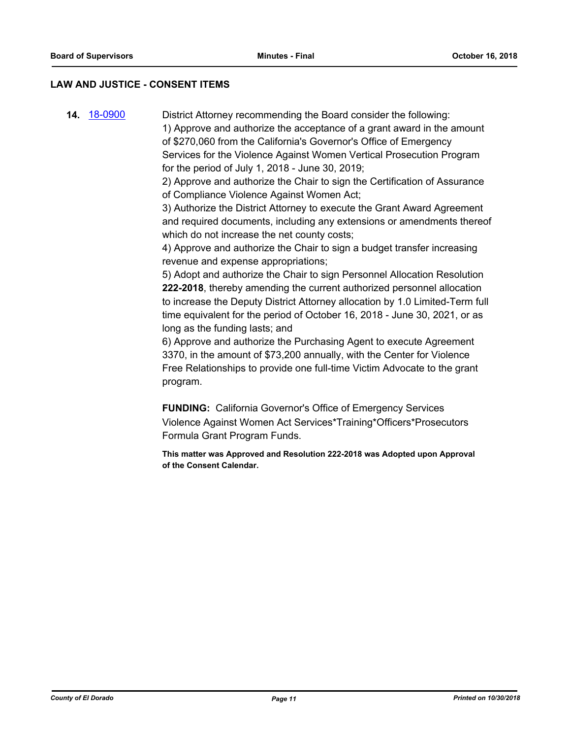#### **LAW AND JUSTICE - CONSENT ITEMS**

**14.** [18-0900](http://eldorado.legistar.com/gateway.aspx?m=l&id=/matter.aspx?key=24248) District Attorney recommending the Board consider the following: 1) Approve and authorize the acceptance of a grant award in the amount of \$270,060 from the California's Governor's Office of Emergency Services for the Violence Against Women Vertical Prosecution Program for the period of July 1, 2018 - June 30, 2019;

> 2) Approve and authorize the Chair to sign the Certification of Assurance of Compliance Violence Against Women Act;

3) Authorize the District Attorney to execute the Grant Award Agreement and required documents, including any extensions or amendments thereof which do not increase the net county costs;

4) Approve and authorize the Chair to sign a budget transfer increasing revenue and expense appropriations;

5) Adopt and authorize the Chair to sign Personnel Allocation Resolution **222-2018**, thereby amending the current authorized personnel allocation to increase the Deputy District Attorney allocation by 1.0 Limited-Term full time equivalent for the period of October 16, 2018 - June 30, 2021, or as long as the funding lasts; and

6) Approve and authorize the Purchasing Agent to execute Agreement 3370, in the amount of \$73,200 annually, with the Center for Violence Free Relationships to provide one full-time Victim Advocate to the grant program.

**FUNDING:** California Governor's Office of Emergency Services Violence Against Women Act Services\*Training\*Officers\*Prosecutors Formula Grant Program Funds.

**This matter was Approved and Resolution 222-2018 was Adopted upon Approval of the Consent Calendar.**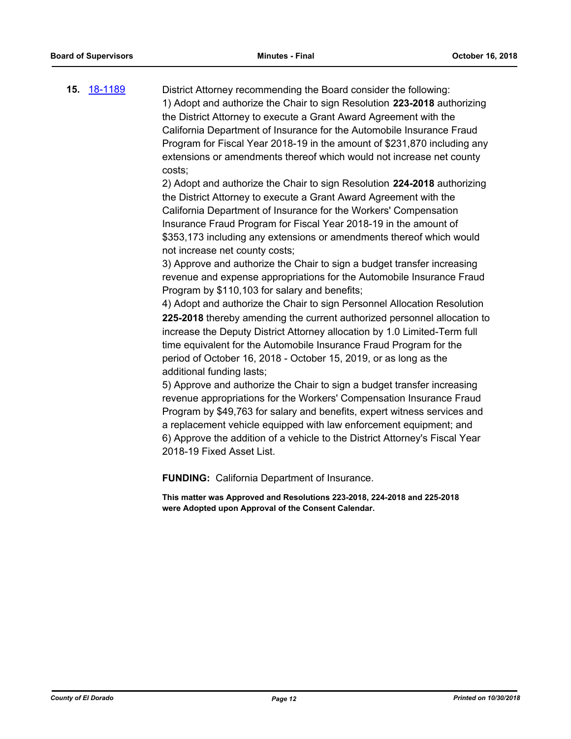**15.** [18-1189](http://eldorado.legistar.com/gateway.aspx?m=l&id=/matter.aspx?key=24539) District Attorney recommending the Board consider the following: 1) Adopt and authorize the Chair to sign Resolution **223-2018** authorizing the District Attorney to execute a Grant Award Agreement with the California Department of Insurance for the Automobile Insurance Fraud Program for Fiscal Year 2018-19 in the amount of \$231,870 including any extensions or amendments thereof which would not increase net county costs;

> 2) Adopt and authorize the Chair to sign Resolution **224-2018** authorizing the District Attorney to execute a Grant Award Agreement with the California Department of Insurance for the Workers' Compensation Insurance Fraud Program for Fiscal Year 2018-19 in the amount of \$353,173 including any extensions or amendments thereof which would not increase net county costs;

> 3) Approve and authorize the Chair to sign a budget transfer increasing revenue and expense appropriations for the Automobile Insurance Fraud Program by \$110,103 for salary and benefits;

4) Adopt and authorize the Chair to sign Personnel Allocation Resolution **225-2018** thereby amending the current authorized personnel allocation to increase the Deputy District Attorney allocation by 1.0 Limited-Term full time equivalent for the Automobile Insurance Fraud Program for the period of October 16, 2018 - October 15, 2019, or as long as the additional funding lasts;

5) Approve and authorize the Chair to sign a budget transfer increasing revenue appropriations for the Workers' Compensation Insurance Fraud Program by \$49,763 for salary and benefits, expert witness services and a replacement vehicle equipped with law enforcement equipment; and 6) Approve the addition of a vehicle to the District Attorney's Fiscal Year 2018-19 Fixed Asset List.

**FUNDING:** California Department of Insurance.

**This matter was Approved and Resolutions 223-2018, 224-2018 and 225-2018 were Adopted upon Approval of the Consent Calendar.**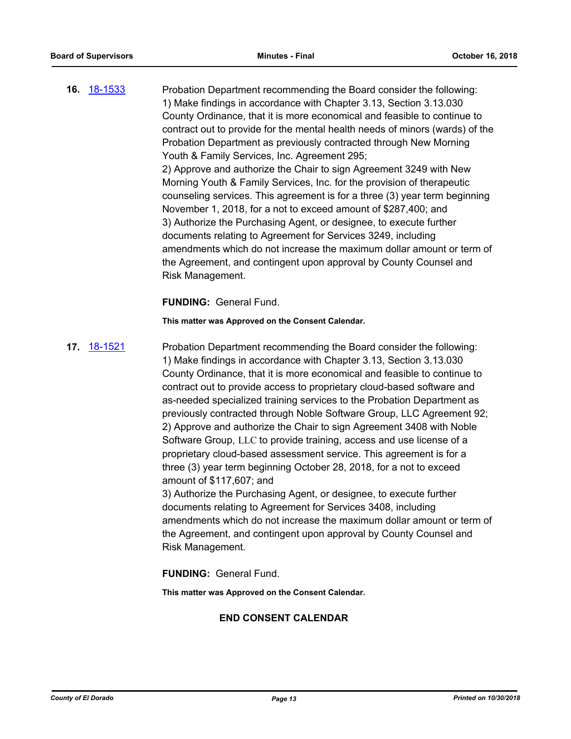**16.** [18-1533](http://eldorado.legistar.com/gateway.aspx?m=l&id=/matter.aspx?key=24884) Probation Department recommending the Board consider the following: 1) Make findings in accordance with Chapter 3.13, Section 3.13.030 County Ordinance, that it is more economical and feasible to continue to contract out to provide for the mental health needs of minors (wards) of the Probation Department as previously contracted through New Morning Youth & Family Services, Inc. Agreement 295; 2) Approve and authorize the Chair to sign Agreement 3249 with New Morning Youth & Family Services, Inc. for the provision of therapeutic counseling services. This agreement is for a three (3) year term beginning November 1, 2018, for a not to exceed amount of \$287,400; and 3) Authorize the Purchasing Agent, or designee, to execute further documents relating to Agreement for Services 3249, including amendments which do not increase the maximum dollar amount or term of the Agreement, and contingent upon approval by County Counsel and Risk Management.

## **FUNDING:** General Fund.

**This matter was Approved on the Consent Calendar.**

**17.** [18-1521](http://eldorado.legistar.com/gateway.aspx?m=l&id=/matter.aspx?key=24872) Probation Department recommending the Board consider the following: 1) Make findings in accordance with Chapter 3.13, Section 3.13.030 County Ordinance, that it is more economical and feasible to continue to contract out to provide access to proprietary cloud-based software and as-needed specialized training services to the Probation Department as previously contracted through Noble Software Group, LLC Agreement 92; 2) Approve and authorize the Chair to sign Agreement 3408 with Noble Software Group, LLC to provide training, access and use license of a proprietary cloud-based assessment service. This agreement is for a three (3) year term beginning October 28, 2018, for a not to exceed amount of \$117,607; and 3) Authorize the Purchasing Agent, or designee, to execute further documents relating to Agreement for Services 3408, including

amendments which do not increase the maximum dollar amount or term of the Agreement, and contingent upon approval by County Counsel and Risk Management.

**FUNDING:** General Fund.

**This matter was Approved on the Consent Calendar.**

## **END CONSENT CALENDAR**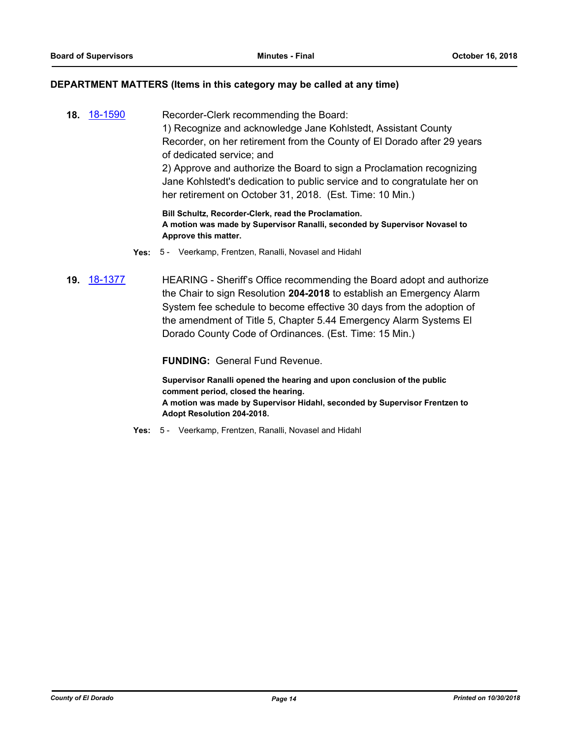## **DEPARTMENT MATTERS (Items in this category may be called at any time)**

**18.** [18-1590](http://eldorado.legistar.com/gateway.aspx?m=l&id=/matter.aspx?key=24941) Recorder-Clerk recommending the Board: 1) Recognize and acknowledge Jane Kohlstedt, Assistant County Recorder, on her retirement from the County of El Dorado after 29 years of dedicated service; and 2) Approve and authorize the Board to sign a Proclamation recognizing Jane Kohlstedt's dedication to public service and to congratulate her on her retirement on October 31, 2018. (Est. Time: 10 Min.) **Bill Schultz, Recorder-Clerk, read the Proclamation.**

**A motion was made by Supervisor Ranalli, seconded by Supervisor Novasel to Approve this matter.**

- **Yes:** 5 Veerkamp, Frentzen, Ranalli, Novasel and Hidahl
- **19.** [18-1377](http://eldorado.legistar.com/gateway.aspx?m=l&id=/matter.aspx?key=24729) HEARING Sheriff's Office recommending the Board adopt and authorize the Chair to sign Resolution **204-2018** to establish an Emergency Alarm System fee schedule to become effective 30 days from the adoption of the amendment of Title 5, Chapter 5.44 Emergency Alarm Systems El Dorado County Code of Ordinances. (Est. Time: 15 Min.)

**FUNDING:** General Fund Revenue.

**Supervisor Ranalli opened the hearing and upon conclusion of the public comment period, closed the hearing. A motion was made by Supervisor Hidahl, seconded by Supervisor Frentzen to Adopt Resolution 204-2018.**

**Yes:** 5 - Veerkamp, Frentzen, Ranalli, Novasel and Hidahl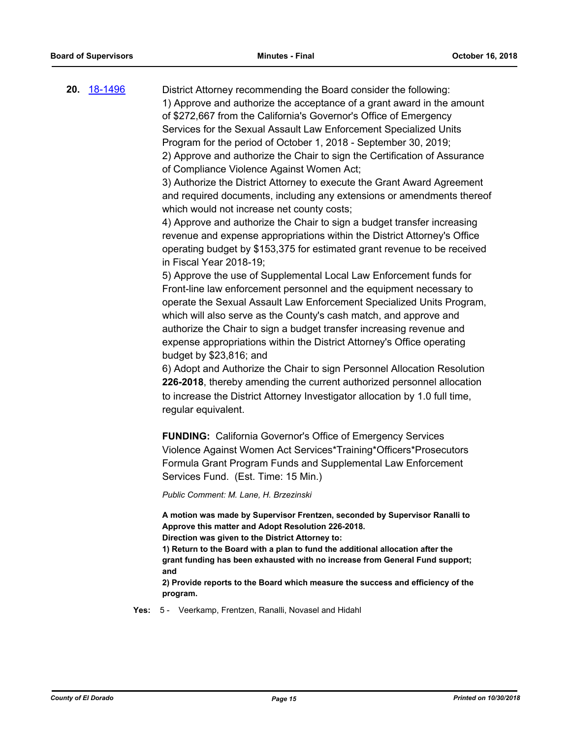**20.** [18-1496](http://eldorado.legistar.com/gateway.aspx?m=l&id=/matter.aspx?key=24847) District Attorney recommending the Board consider the following: 1) Approve and authorize the acceptance of a grant award in the amount of \$272,667 from the California's Governor's Office of Emergency Services for the Sexual Assault Law Enforcement Specialized Units Program for the period of October 1, 2018 - September 30, 2019; 2) Approve and authorize the Chair to sign the Certification of Assurance of Compliance Violence Against Women Act;

> 3) Authorize the District Attorney to execute the Grant Award Agreement and required documents, including any extensions or amendments thereof which would not increase net county costs;

4) Approve and authorize the Chair to sign a budget transfer increasing revenue and expense appropriations within the District Attorney's Office operating budget by \$153,375 for estimated grant revenue to be received in Fiscal Year 2018-19;

5) Approve the use of Supplemental Local Law Enforcement funds for Front-line law enforcement personnel and the equipment necessary to operate the Sexual Assault Law Enforcement Specialized Units Program, which will also serve as the County's cash match, and approve and authorize the Chair to sign a budget transfer increasing revenue and expense appropriations within the District Attorney's Office operating budget by \$23,816; and

6) Adopt and Authorize the Chair to sign Personnel Allocation Resolution **226-2018**, thereby amending the current authorized personnel allocation to increase the District Attorney Investigator allocation by 1.0 full time, regular equivalent.

**FUNDING:** California Governor's Office of Emergency Services Violence Against Women Act Services\*Training\*Officers\*Prosecutors Formula Grant Program Funds and Supplemental Law Enforcement Services Fund. (Est. Time: 15 Min.)

*Public Comment: M. Lane, H. Brzezinski*

**A motion was made by Supervisor Frentzen, seconded by Supervisor Ranalli to Approve this matter and Adopt Resolution 226-2018.** 

**Direction was given to the District Attorney to:**

**1) Return to the Board with a plan to fund the additional allocation after the grant funding has been exhausted with no increase from General Fund support; and**

**2) Provide reports to the Board which measure the success and efficiency of the program.**

**Yes:** 5 - Veerkamp, Frentzen, Ranalli, Novasel and Hidahl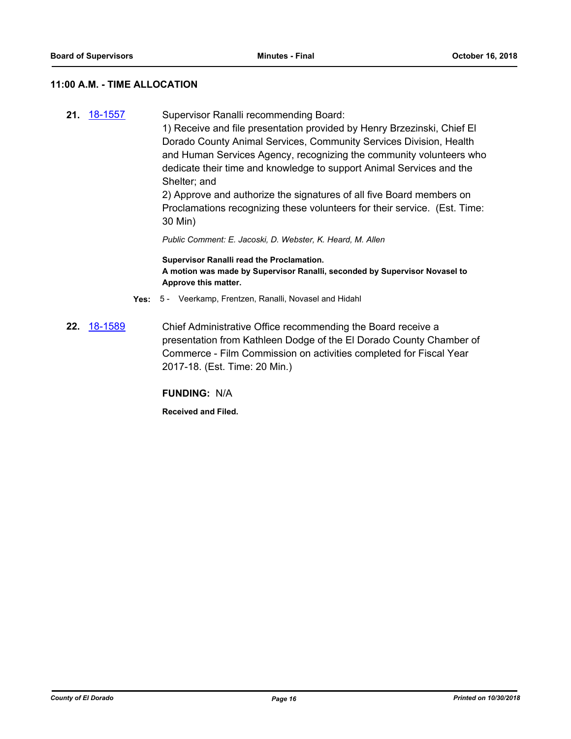## **11:00 A.M. - TIME ALLOCATION**

**21.** [18-1557](http://eldorado.legistar.com/gateway.aspx?m=l&id=/matter.aspx?key=24908) Supervisor Ranalli recommending Board: 1) Receive and file presentation provided by Henry Brzezinski, Chief El Dorado County Animal Services, Community Services Division, Health and Human Services Agency, recognizing the community volunteers who dedicate their time and knowledge to support Animal Services and the Shelter; and

2) Approve and authorize the signatures of all five Board members on Proclamations recognizing these volunteers for their service. (Est. Time: 30 Min)

*Public Comment: E. Jacoski, D. Webster, K. Heard, M. Allen*

**Supervisor Ranalli read the Proclamation. A motion was made by Supervisor Ranalli, seconded by Supervisor Novasel to Approve this matter.**

- **Yes:** 5 Veerkamp, Frentzen, Ranalli, Novasel and Hidahl
- **22.** [18-1589](http://eldorado.legistar.com/gateway.aspx?m=l&id=/matter.aspx?key=24940) Chief Administrative Office recommending the Board receive a presentation from Kathleen Dodge of the El Dorado County Chamber of Commerce - Film Commission on activities completed for Fiscal Year 2017-18. (Est. Time: 20 Min.)

**FUNDING:** N/A

**Received and Filed.**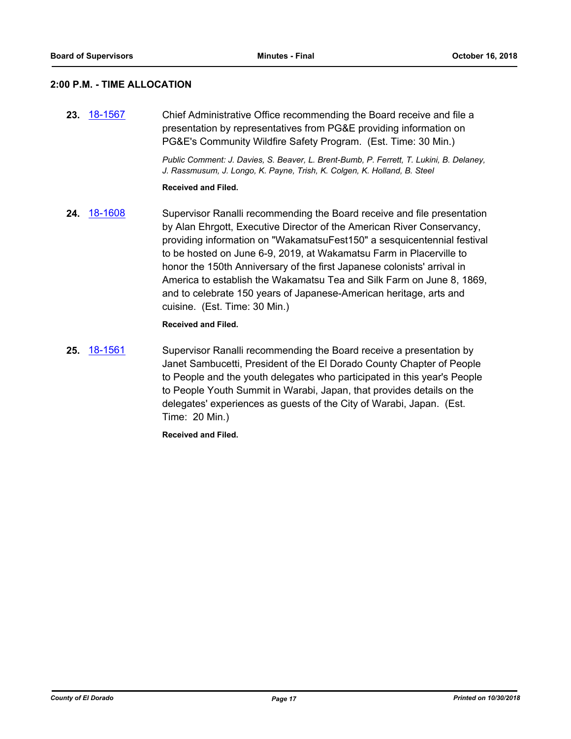#### **2:00 P.M. - TIME ALLOCATION**

**23.** [18-1567](http://eldorado.legistar.com/gateway.aspx?m=l&id=/matter.aspx?key=24918) Chief Administrative Office recommending the Board receive and file a presentation by representatives from PG&E providing information on PG&E's Community Wildfire Safety Program. (Est. Time: 30 Min.)

> *Public Comment: J. Davies, S. Beaver, L. Brent-Bumb, P. Ferrett, T. Lukini, B. Delaney, J. Rassmusum, J. Longo, K. Payne, Trish, K. Colgen, K. Holland, B. Steel*

#### **Received and Filed.**

**24.** [18-1608](http://eldorado.legistar.com/gateway.aspx?m=l&id=/matter.aspx?key=24959) Supervisor Ranalli recommending the Board receive and file presentation by Alan Ehrgott, Executive Director of the American River Conservancy, providing information on "WakamatsuFest150" a sesquicentennial festival to be hosted on June 6-9, 2019, at Wakamatsu Farm in Placerville to honor the 150th Anniversary of the first Japanese colonists' arrival in America to establish the Wakamatsu Tea and Silk Farm on June 8, 1869, and to celebrate 150 years of Japanese-American heritage, arts and cuisine. (Est. Time: 30 Min.)

#### **Received and Filed.**

**25.** [18-1561](http://eldorado.legistar.com/gateway.aspx?m=l&id=/matter.aspx?key=24912) Supervisor Ranalli recommending the Board receive a presentation by Janet Sambucetti, President of the El Dorado County Chapter of People to People and the youth delegates who participated in this year's People to People Youth Summit in Warabi, Japan, that provides details on the delegates' experiences as guests of the City of Warabi, Japan. (Est. Time: 20 Min.)

**Received and Filed.**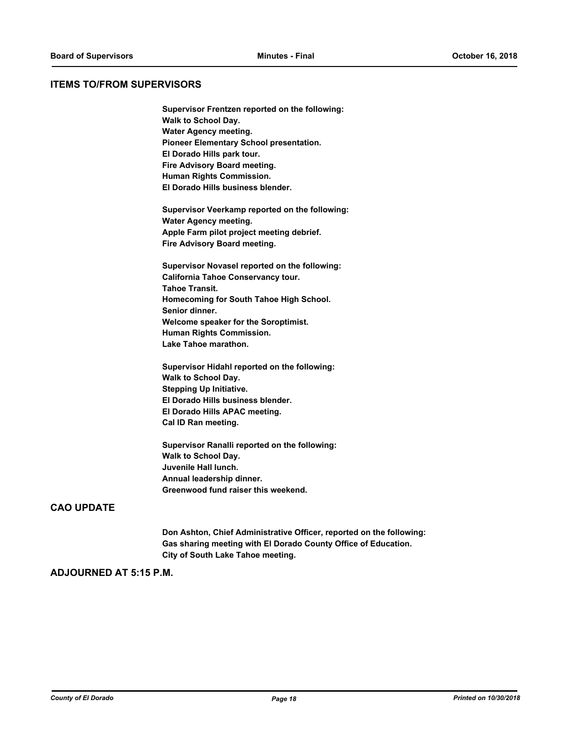### **ITEMS TO/FROM SUPERVISORS**

**Supervisor Frentzen reported on the following: Walk to School Day. Water Agency meeting. Pioneer Elementary School presentation. El Dorado Hills park tour. Fire Advisory Board meeting. Human Rights Commission. El Dorado Hills business blender.**

**Supervisor Veerkamp reported on the following: Water Agency meeting. Apple Farm pilot project meeting debrief. Fire Advisory Board meeting.**

**Supervisor Novasel reported on the following: California Tahoe Conservancy tour. Tahoe Transit. Homecoming for South Tahoe High School. Senior dinner. Welcome speaker for the Soroptimist. Human Rights Commission. Lake Tahoe marathon.**

**Supervisor Hidahl reported on the following: Walk to School Day. Stepping Up Initiative. El Dorado Hills business blender. El Dorado Hills APAC meeting. Cal ID Ran meeting.**

**Supervisor Ranalli reported on the following: Walk to School Day. Juvenile Hall lunch. Annual leadership dinner. Greenwood fund raiser this weekend.**

## **CAO UPDATE**

**Don Ashton, Chief Administrative Officer, reported on the following: Gas sharing meeting with El Dorado County Office of Education. City of South Lake Tahoe meeting.**

#### **ADJOURNED AT 5:15 P.M.**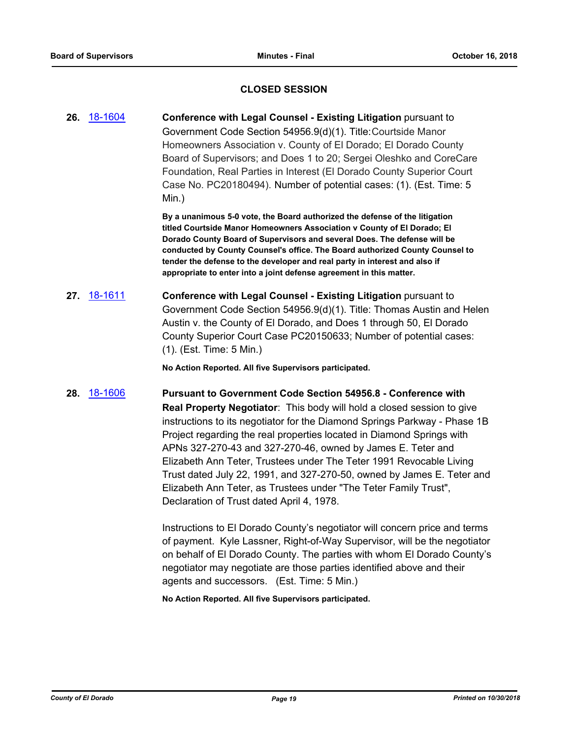## **CLOSED SESSION**

**26.** [18-1604](http://eldorado.legistar.com/gateway.aspx?m=l&id=/matter.aspx?key=24955) **Conference with Legal Counsel - Existing Litigation** pursuant to Government Code Section 54956.9(d)(1). Title:Courtside Manor Homeowners Association v. County of El Dorado; El Dorado County Board of Supervisors; and Does 1 to 20; Sergei Oleshko and CoreCare Foundation, Real Parties in Interest (El Dorado County Superior Court Case No. PC20180494). Number of potential cases: (1). (Est. Time: 5 Min.)

> **By a unanimous 5-0 vote, the Board authorized the defense of the litigation titled Courtside Manor Homeowners Association v County of El Dorado; El Dorado County Board of Supervisors and several Does. The defense will be conducted by County Counsel's office. The Board authorized County Counsel to tender the defense to the developer and real party in interest and also if appropriate to enter into a joint defense agreement in this matter.**

**27.** [18-1611](http://eldorado.legistar.com/gateway.aspx?m=l&id=/matter.aspx?key=24962) **Conference with Legal Counsel - Existing Litigation** pursuant to Government Code Section 54956.9(d)(1). Title: Thomas Austin and Helen Austin v. the County of El Dorado, and Does 1 through 50, El Dorado County Superior Court Case PC20150633; Number of potential cases: (1). (Est. Time: 5 Min.)

**No Action Reported. All five Supervisors participated.**

**28.** [18-1606](http://eldorado.legistar.com/gateway.aspx?m=l&id=/matter.aspx?key=24957) **Pursuant to Government Code Section 54956.8 - Conference with Real Property Negotiator**: This body will hold a closed session to give instructions to its negotiator for the Diamond Springs Parkway - Phase 1B Project regarding the real properties located in Diamond Springs with APNs 327-270-43 and 327-270-46, owned by James E. Teter and Elizabeth Ann Teter, Trustees under The Teter 1991 Revocable Living Trust dated July 22, 1991, and 327-270-50, owned by James E. Teter and Elizabeth Ann Teter, as Trustees under "The Teter Family Trust", Declaration of Trust dated April 4, 1978.

> Instructions to El Dorado County's negotiator will concern price and terms of payment. Kyle Lassner, Right-of-Way Supervisor, will be the negotiator on behalf of El Dorado County. The parties with whom El Dorado County's negotiator may negotiate are those parties identified above and their agents and successors. (Est. Time: 5 Min.)

**No Action Reported. All five Supervisors participated.**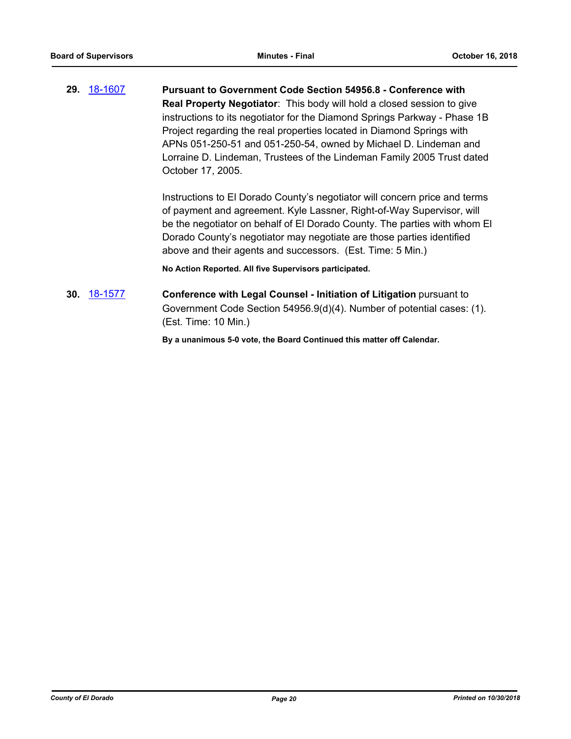**29.** [18-1607](http://eldorado.legistar.com/gateway.aspx?m=l&id=/matter.aspx?key=24958) **Pursuant to Government Code Section 54956.8 - Conference with Real Property Negotiator**: This body will hold a closed session to give instructions to its negotiator for the Diamond Springs Parkway - Phase 1B Project regarding the real properties located in Diamond Springs with APNs 051-250-51 and 051-250-54, owned by Michael D. Lindeman and Lorraine D. Lindeman, Trustees of the Lindeman Family 2005 Trust dated October 17, 2005.

> Instructions to El Dorado County's negotiator will concern price and terms of payment and agreement. Kyle Lassner, Right-of-Way Supervisor, will be the negotiator on behalf of El Dorado County. The parties with whom El Dorado County's negotiator may negotiate are those parties identified above and their agents and successors. (Est. Time: 5 Min.)

**No Action Reported. All five Supervisors participated.**

**30.** [18-1577](http://eldorado.legistar.com/gateway.aspx?m=l&id=/matter.aspx?key=24928) **Conference with Legal Counsel - Initiation of Litigation** pursuant to Government Code Section 54956.9(d)(4). Number of potential cases: (1). (Est. Time: 10 Min.)

**By a unanimous 5-0 vote, the Board Continued this matter off Calendar.**